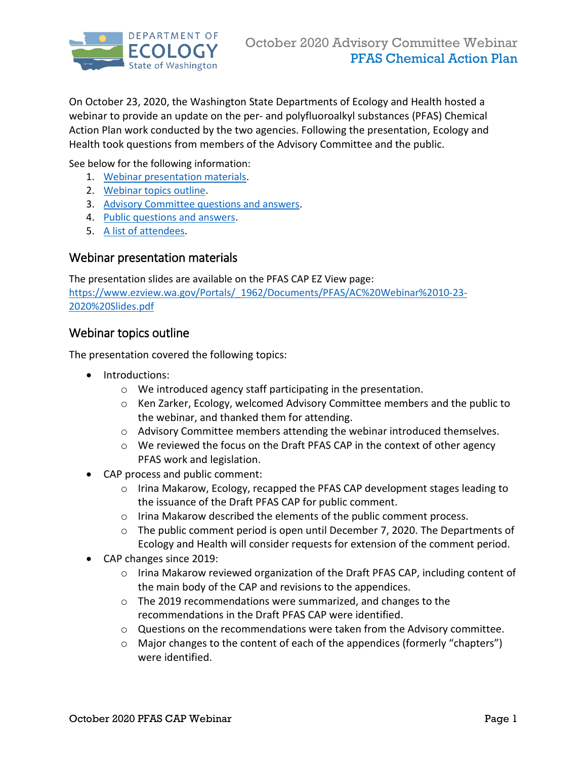

On October 23, 2020, the Washington State Departments of Ecology and Health hosted a webinar to provide an update on the per- and polyfluoroalkyl substances (PFAS) Chemical Action Plan work conducted by the two agencies. Following the presentation, Ecology and Health took questions from members of the Advisory Committee and the public.

See below for the following information:

- 1. [Webinar presentation materials.](#page-0-0)
- 2. [Webinar topics outline.](#page-0-1)
- 3. [Advisory Committee questions and answers.](#page-1-0)
- 4. [Public questions and answers.](#page-2-0)
- 5. [A list of attendees.](#page-3-0)

#### <span id="page-0-0"></span>Webinar presentation materials

The presentation slides are available on the PFAS CAP EZ View page: [https://www.ezview.wa.gov/Portals/\\_1962/Documents/PFAS/AC%20Webinar%2010-23-](https://www.ezview.wa.gov/Portals/_1962/Documents/PFAS/AC%20Webinar%2010-23-2020%20Slides.pdf) [2020%20Slides.pdf](https://www.ezview.wa.gov/Portals/_1962/Documents/PFAS/AC%20Webinar%2010-23-2020%20Slides.pdf) 

#### <span id="page-0-1"></span>Webinar topics outline

The presentation covered the following topics:

- Introductions:
	- o We introduced agency staff participating in the presentation.
	- o Ken Zarker, Ecology, welcomed Advisory Committee members and the public to the webinar, and thanked them for attending.
	- o Advisory Committee members attending the webinar introduced themselves.
	- $\circ$  We reviewed the focus on the Draft PFAS CAP in the context of other agency PFAS work and legislation.
- CAP process and public comment:
	- $\circ$  Irina Makarow, Ecology, recapped the PFAS CAP development stages leading to the issuance of the Draft PFAS CAP for public comment.
	- o Irina Makarow described the elements of the public comment process.
	- $\circ$  The public comment period is open until December 7, 2020. The Departments of Ecology and Health will consider requests for extension of the comment period.
- CAP changes since 2019:
	- o Irina Makarow reviewed organization of the Draft PFAS CAP, including content of the main body of the CAP and revisions to the appendices.
	- o The 2019 recommendations were summarized, and changes to the recommendations in the Draft PFAS CAP were identified.
	- $\circ$  Questions on the recommendations were taken from the Advisory committee.
	- o Major changes to the content of each of the appendices (formerly "chapters") were identified.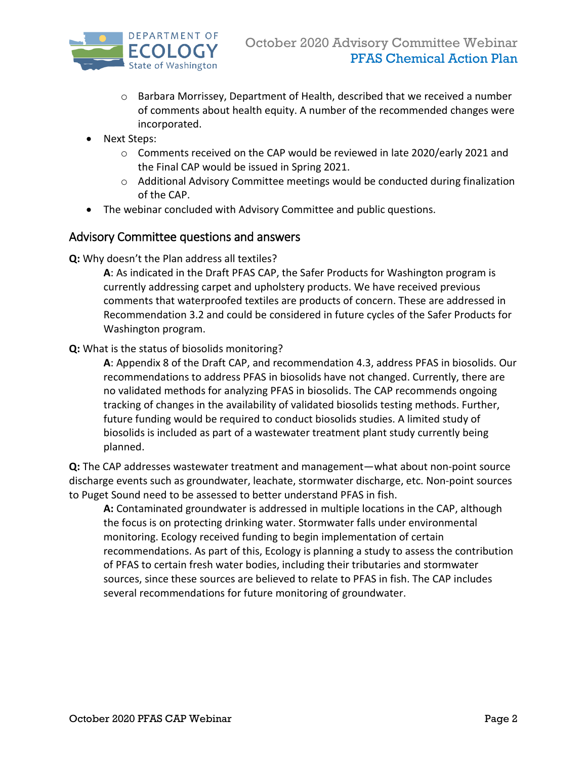

- $\circ$  Barbara Morrissey, Department of Health, described that we received a number of comments about health equity. A number of the recommended changes were incorporated.
- Next Steps:
	- o Comments received on the CAP would be reviewed in late 2020/early 2021 and the Final CAP would be issued in Spring 2021.
	- $\circ$  Additional Advisory Committee meetings would be conducted during finalization of the CAP.
- The webinar concluded with Advisory Committee and public questions.

#### <span id="page-1-0"></span>Advisory Committee questions and answers

**Q:** Why doesn't the Plan address all textiles?

**A**: As indicated in the Draft PFAS CAP, the Safer Products for Washington program is currently addressing carpet and upholstery products. We have received previous comments that waterproofed textiles are products of concern. These are addressed in Recommendation 3.2 and could be considered in future cycles of the Safer Products for Washington program.

#### **Q:** What is the status of biosolids monitoring?

**A**: Appendix 8 of the Draft CAP, and recommendation 4.3, address PFAS in biosolids. Our recommendations to address PFAS in biosolids have not changed. Currently, there are no validated methods for analyzing PFAS in biosolids. The CAP recommends ongoing tracking of changes in the availability of validated biosolids testing methods. Further, future funding would be required to conduct biosolids studies. A limited study of biosolids is included as part of a wastewater treatment plant study currently being planned.

**Q:** The CAP addresses wastewater treatment and management—what about non-point source discharge events such as groundwater, leachate, stormwater discharge, etc. Non-point sources to Puget Sound need to be assessed to better understand PFAS in fish.

**A:** Contaminated groundwater is addressed in multiple locations in the CAP, although the focus is on protecting drinking water. Stormwater falls under environmental monitoring. Ecology received funding to begin implementation of certain recommendations. As part of this, Ecology is planning a study to assess the contribution of PFAS to certain fresh water bodies, including their tributaries and stormwater sources, since these sources are believed to relate to PFAS in fish. The CAP includes several recommendations for future monitoring of groundwater.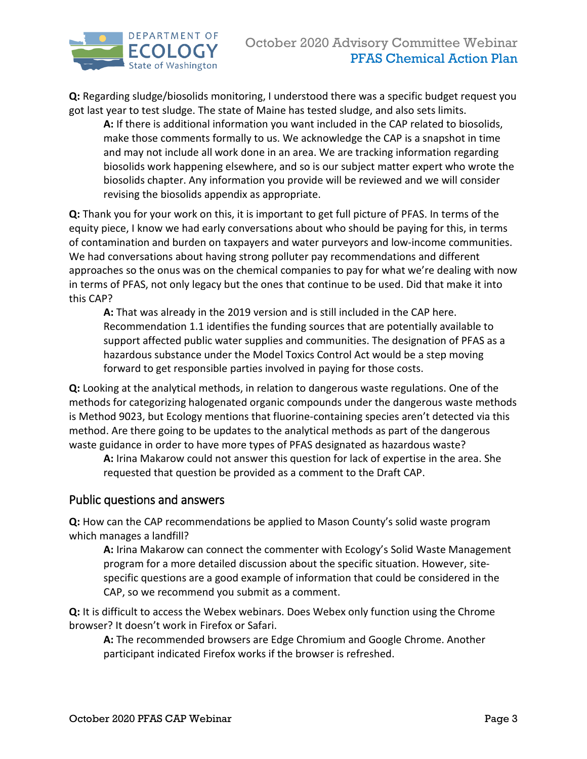

**Q:** Regarding sludge/biosolids monitoring, I understood there was a specific budget request you got last year to test sludge. The state of Maine has tested sludge, and also sets limits.

**A:** If there is additional information you want included in the CAP related to biosolids, make those comments formally to us. We acknowledge the CAP is a snapshot in time and may not include all work done in an area. We are tracking information regarding biosolids work happening elsewhere, and so is our subject matter expert who wrote the biosolids chapter. Any information you provide will be reviewed and we will consider revising the biosolids appendix as appropriate.

**Q:** Thank you for your work on this, it is important to get full picture of PFAS. In terms of the equity piece, I know we had early conversations about who should be paying for this, in terms of contamination and burden on taxpayers and water purveyors and low-income communities. We had conversations about having strong polluter pay recommendations and different approaches so the onus was on the chemical companies to pay for what we're dealing with now in terms of PFAS, not only legacy but the ones that continue to be used. Did that make it into this CAP?

**A:** That was already in the 2019 version and is still included in the CAP here. Recommendation 1.1 identifies the funding sources that are potentially available to support affected public water supplies and communities. The designation of PFAS as a hazardous substance under the Model Toxics Control Act would be a step moving forward to get responsible parties involved in paying for those costs.

**Q:** Looking at the analytical methods, in relation to dangerous waste regulations. One of the methods for categorizing halogenated organic compounds under the dangerous waste methods is Method 9023, but Ecology mentions that fluorine-containing species aren't detected via this method. Are there going to be updates to the analytical methods as part of the dangerous waste guidance in order to have more types of PFAS designated as hazardous waste?

**A:** Irina Makarow could not answer this question for lack of expertise in the area. She requested that question be provided as a comment to the Draft CAP.

#### <span id="page-2-0"></span>Public questions and answers

**Q:** How can the CAP recommendations be applied to Mason County's solid waste program which manages a landfill?

**A:** Irina Makarow can connect the commenter with Ecology's Solid Waste Management program for a more detailed discussion about the specific situation. However, sitespecific questions are a good example of information that could be considered in the CAP, so we recommend you submit as a comment.

**Q:** It is difficult to access the Webex webinars. Does Webex only function using the Chrome browser? It doesn't work in Firefox or Safari.

**A:** The recommended browsers are Edge Chromium and Google Chrome. Another participant indicated Firefox works if the browser is refreshed.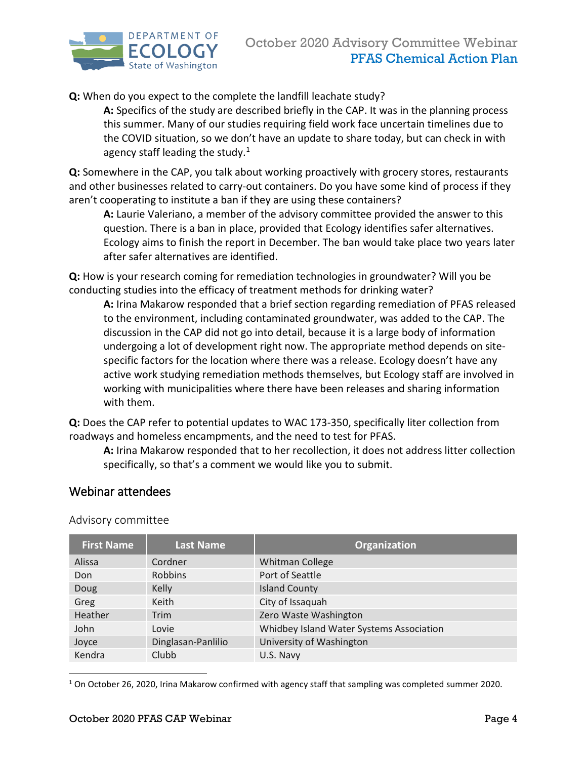

**Q:** When do you expect to the complete the landfill leachate study?

**A:** Specifics of the study are described briefly in the CAP. It was in the planning process this summer. Many of our studies requiring field work face uncertain timelines due to the COVID situation, so we don't have an update to share today, but can check in with agency staff leading the study.<sup>[1](#page-3-1)</sup>

**Q:** Somewhere in the CAP, you talk about working proactively with grocery stores, restaurants and other businesses related to carry-out containers. Do you have some kind of process if they aren't cooperating to institute a ban if they are using these containers?

**A:** Laurie Valeriano, a member of the advisory committee provided the answer to this question. There is a ban in place, provided that Ecology identifies safer alternatives. Ecology aims to finish the report in December. The ban would take place two years later after safer alternatives are identified.

**Q:** How is your research coming for remediation technologies in groundwater? Will you be conducting studies into the efficacy of treatment methods for drinking water?

**A:** Irina Makarow responded that a brief section regarding remediation of PFAS released to the environment, including contaminated groundwater, was added to the CAP. The discussion in the CAP did not go into detail, because it is a large body of information undergoing a lot of development right now. The appropriate method depends on sitespecific factors for the location where there was a release. Ecology doesn't have any active work studying remediation methods themselves, but Ecology staff are involved in working with municipalities where there have been releases and sharing information with them.

**Q:** Does the CAP refer to potential updates to WAC 173-350, specifically liter collection from roadways and homeless encampments, and the need to test for PFAS.

**A:** Irina Makarow responded that to her recollection, it does not address litter collection specifically, so that's a comment we would like you to submit.

#### <span id="page-3-0"></span>Webinar attendees

Advisory committee

| <b>First Name</b> | <b>Last Name</b>   | Organization                             |
|-------------------|--------------------|------------------------------------------|
| Alissa            | Cordner            | <b>Whitman College</b>                   |
| Don               | <b>Robbins</b>     | Port of Seattle                          |
| Doug              | Kelly              | <b>Island County</b>                     |
| Greg              | Keith              | City of Issaquah                         |
| Heather           | Trim               | Zero Waste Washington                    |
| John              | Lovie              | Whidbey Island Water Systems Association |
| Joyce             | Dinglasan-Panlilio | University of Washington                 |
| Kendra            | Clubb              | U.S. Navy                                |

<span id="page-3-1"></span> $1$  On October 26, 2020, Irina Makarow confirmed with agency staff that sampling was completed summer 2020.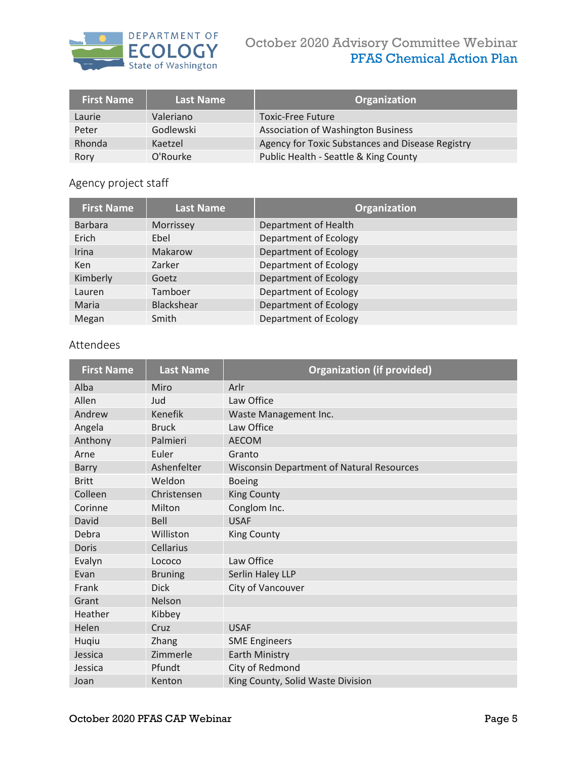

## October 2020 Advisory Committee Webinar PFAS Chemical Action Plan

| <b>First Name</b> | Last Name | Organization                                     |
|-------------------|-----------|--------------------------------------------------|
| Laurie            | Valeriano | <b>Toxic-Free Future</b>                         |
| Peter             | Godlewski | <b>Association of Washington Business</b>        |
| Rhonda            | Kaetzel   | Agency for Toxic Substances and Disease Registry |
| Rory              | O'Rourke  | Public Health - Seattle & King County            |

# Agency project staff

| <b>First Name</b> | <b>Last Name</b>  | Organization          |
|-------------------|-------------------|-----------------------|
| <b>Barbara</b>    | Morrissey         | Department of Health  |
| Erich             | Ebel              | Department of Ecology |
| Irina             | Makarow           | Department of Ecology |
| <b>Ken</b>        | Zarker            | Department of Ecology |
| Kimberly          | Goetz             | Department of Ecology |
| Lauren            | Tamboer           | Department of Ecology |
| Maria             | <b>Blackshear</b> | Department of Ecology |
| Megan             | Smith             | Department of Ecology |

### Attendees

| <b>First Name</b> | <b>Last Name</b> | <b>Organization (if provided)</b>                |
|-------------------|------------------|--------------------------------------------------|
| Alba              | Miro             | Arlr                                             |
| Allen             | Jud              | Law Office                                       |
| Andrew            | <b>Kenefik</b>   | Waste Management Inc.                            |
| Angela            | <b>Bruck</b>     | Law Office                                       |
| Anthony           | Palmieri         | <b>AECOM</b>                                     |
| Arne              | Euler            | Granto                                           |
| <b>Barry</b>      | Ashenfelter      | <b>Wisconsin Department of Natural Resources</b> |
| <b>Britt</b>      | Weldon           | <b>Boeing</b>                                    |
| Colleen           | Christensen      | <b>King County</b>                               |
| Corinne           | Milton           | Conglom Inc.                                     |
| David             | <b>Bell</b>      | <b>USAF</b>                                      |
| Debra             | Williston        | <b>King County</b>                               |
| Doris             | Cellarius        |                                                  |
| Evalyn            | Lococo           | Law Office                                       |
| Evan              | <b>Bruning</b>   | Serlin Haley LLP                                 |
| Frank             | <b>Dick</b>      | City of Vancouver                                |
| Grant             | <b>Nelson</b>    |                                                  |
| Heather           | Kibbey           |                                                  |
| Helen             | Cruz             | <b>USAF</b>                                      |
| Huqiu             | Zhang            | <b>SME Engineers</b>                             |
| Jessica           | Zimmerle         | <b>Earth Ministry</b>                            |
| Jessica           | Pfundt           | City of Redmond                                  |
| Joan              | Kenton           | King County, Solid Waste Division                |